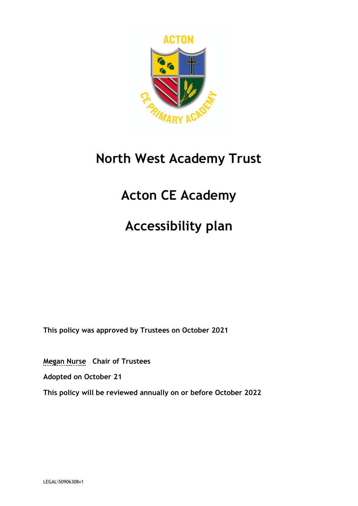

# **North West Academy Trust**

## **Acton CE Academy**

### **Accessibility plan**

**This policy was approved by Trustees on October 2021**

**Megan Nurse Chair of Trustees Adopted on October 21 This policy will be reviewed annually on or before October 2022**